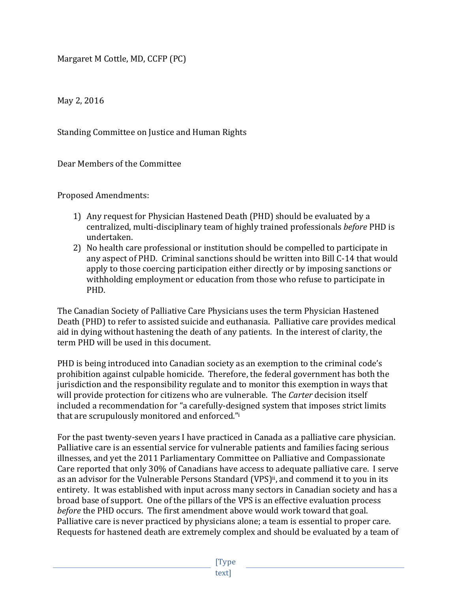Margaret M Cottle, MD, CCFP (PC)

May 2, 2016

Standing Committee on Justice and Human Rights

Dear Members of the Committee

Proposed Amendments:

- 1) Any request for Physician Hastened Death (PHD) should be evaluated by a centralized, multi-disciplinary team of highly trained professionals *before* PHD is undertaken.
- 2) No health care professional or institution should be compelled to participate in any aspect of PHD. Criminal sanctions should be written into Bill C-14 that would apply to those coercing participation either directly or by imposing sanctions or withholding employment or education from those who refuse to participate in PHD.

The Canadian Society of Palliative Care Physicians uses the term Physician Hastened Death (PHD) to refer to assisted suicide and euthanasia. Palliative care provides medical aid in dying without hastening the death of any patients. In the interest of clarity, the term PHD will be used in this document.

PHD is being introduced into Canadian society as an exemption to the criminal code's prohibition against culpable homicide. Therefore, the federal government has both the jurisdiction and the responsibility regulate and to monitor this exemption in ways that will provide protection for citizens who are vulnerable. The *Carter* decision itself included a recommendation for "a carefully-designed system that imposes strict limits that are scrupulously monitored and enforced."i

For the past twenty-seven years I have practiced in Canada as a palliative care physician. Palliative care is an essential service for vulnerable patients and families facing serious illnesses, and yet the 2011 Parliamentary Committee on Palliative and Compassionate Care reported that only 30% of Canadians have access to adequate palliative care. I serve as an advisor for the Vulnerable Persons Standard (VPS)<sup>ii</sup>, and commend it to you in its entirety. It was established with input across many sectors in Canadian society and has a broad base of support. One of the pillars of the VPS is an effective evaluation process *before* the PHD occurs. The first amendment above would work toward that goal. Palliative care is never practiced by physicians alone; a team is essential to proper care. Requests for hastened death are extremely complex and should be evaluated by a team of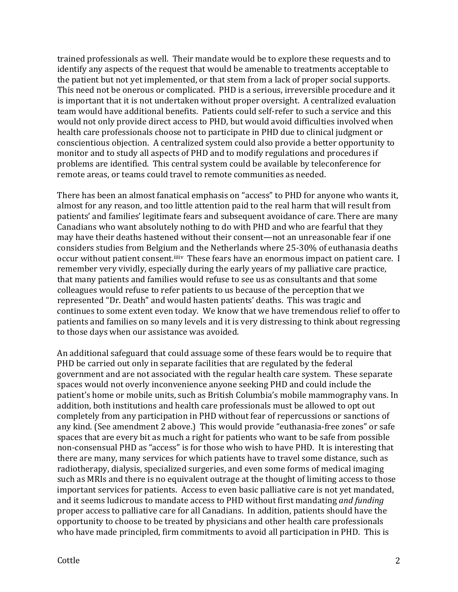trained professionals as well. Their mandate would be to explore these requests and to identify any aspects of the request that would be amenable to treatments acceptable to the patient but not yet implemented, or that stem from a lack of proper social supports. This need not be onerous or complicated. PHD is a serious, irreversible procedure and it is important that it is not undertaken without proper oversight. A centralized evaluation team would have additional benefits. Patients could self-refer to such a service and this would not only provide direct access to PHD, but would avoid difficulties involved when health care professionals choose not to participate in PHD due to clinical judgment or conscientious objection. A centralized system could also provide a better opportunity to monitor and to study all aspects of PHD and to modify regulations and procedures if problems are identified. This central system could be available by teleconference for remote areas, or teams could travel to remote communities as needed.

There has been an almost fanatical emphasis on "access" to PHD for anyone who wants it, almost for any reason, and too little attention paid to the real harm that will result from patients' and families' legitimate fears and subsequent avoidance of care. There are many Canadians who want absolutely nothing to do with PHD and who are fearful that they may have their deaths hastened without their consent—not an unreasonable fear if one considers studies from Belgium and the Netherlands where 25-30% of euthanasia deaths occur without patient consent.<sup>iiiiv</sup> These fears have an enormous impact on patient care. I remember very vividly, especially during the early years of my palliative care practice, that many patients and families would refuse to see us as consultants and that some colleagues would refuse to refer patients to us because of the perception that we represented "Dr. Death" and would hasten patients' deaths. This was tragic and continues to some extent even today. We know that we have tremendous relief to offer to patients and families on so many levels and it is very distressing to think about regressing to those days when our assistance was avoided.

An additional safeguard that could assuage some of these fears would be to require that PHD be carried out only in separate facilities that are regulated by the federal government and are not associated with the regular health care system. These separate spaces would not overly inconvenience anyone seeking PHD and could include the patient's home or mobile units, such as British Columbia's mobile mammography vans. In addition, both institutions and health care professionals must be allowed to opt out completely from any participation in PHD without fear of repercussions or sanctions of any kind. (See amendment 2 above.) This would provide "euthanasia-free zones" or safe spaces that are every bit as much a right for patients who want to be safe from possible non-consensual PHD as "access" is for those who wish to have PHD. It is interesting that there are many, many services for which patients have to travel some distance, such as radiotherapy, dialysis, specialized surgeries, and even some forms of medical imaging such as MRIs and there is no equivalent outrage at the thought of limiting access to those important services for patients. Access to even basic palliative care is not yet mandated, and it seems ludicrous to mandate access to PHD without first mandating *and funding* proper access to palliative care for all Canadians. In addition, patients should have the opportunity to choose to be treated by physicians and other health care professionals who have made principled, firm commitments to avoid all participation in PHD. This is